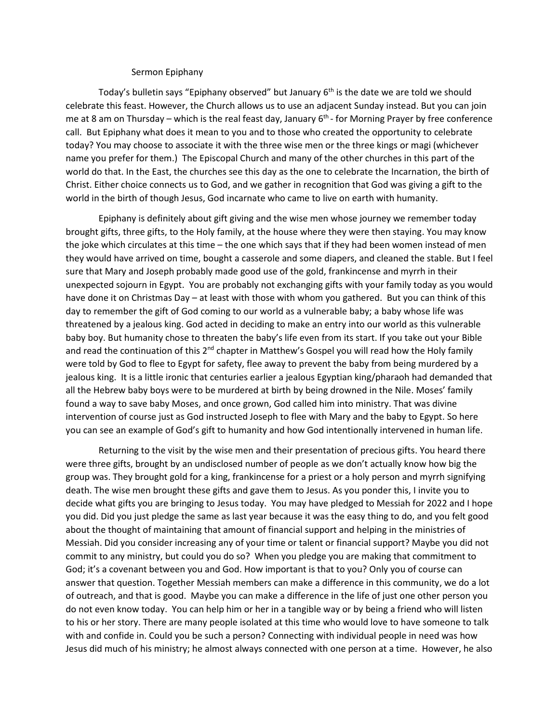## Sermon Epiphany

Today's bulletin says "Epiphany observed" but January  $6<sup>th</sup>$  is the date we are told we should celebrate this feast. However, the Church allows us to use an adjacent Sunday instead. But you can join me at 8 am on Thursday – which is the real feast day, January 6<sup>th</sup> - for Morning Prayer by free conference call. But Epiphany what does it mean to you and to those who created the opportunity to celebrate today? You may choose to associate it with the three wise men or the three kings or magi (whichever name you prefer for them.) The Episcopal Church and many of the other churches in this part of the world do that. In the East, the churches see this day as the one to celebrate the Incarnation, the birth of Christ. Either choice connects us to God, and we gather in recognition that God was giving a gift to the world in the birth of though Jesus, God incarnate who came to live on earth with humanity.

Epiphany is definitely about gift giving and the wise men whose journey we remember today brought gifts, three gifts, to the Holy family, at the house where they were then staying. You may know the joke which circulates at this time – the one which says that if they had been women instead of men they would have arrived on time, bought a casserole and some diapers, and cleaned the stable. But I feel sure that Mary and Joseph probably made good use of the gold, frankincense and myrrh in their unexpected sojourn in Egypt. You are probably not exchanging gifts with your family today as you would have done it on Christmas Day – at least with those with whom you gathered. But you can think of this day to remember the gift of God coming to our world as a vulnerable baby; a baby whose life was threatened by a jealous king. God acted in deciding to make an entry into our world as this vulnerable baby boy. But humanity chose to threaten the baby's life even from its start. If you take out your Bible and read the continuation of this 2<sup>nd</sup> chapter in Matthew's Gospel you will read how the Holy family were told by God to flee to Egypt for safety, flee away to prevent the baby from being murdered by a jealous king. It is a little ironic that centuries earlier a jealous Egyptian king/pharaoh had demanded that all the Hebrew baby boys were to be murdered at birth by being drowned in the Nile. Moses' family found a way to save baby Moses, and once grown, God called him into ministry. That was divine intervention of course just as God instructed Joseph to flee with Mary and the baby to Egypt. So here you can see an example of God's gift to humanity and how God intentionally intervened in human life.

Returning to the visit by the wise men and their presentation of precious gifts. You heard there were three gifts, brought by an undisclosed number of people as we don't actually know how big the group was. They brought gold for a king, frankincense for a priest or a holy person and myrrh signifying death. The wise men brought these gifts and gave them to Jesus. As you ponder this, I invite you to decide what gifts you are bringing to Jesus today. You may have pledged to Messiah for 2022 and I hope you did. Did you just pledge the same as last year because it was the easy thing to do, and you felt good about the thought of maintaining that amount of financial support and helping in the ministries of Messiah. Did you consider increasing any of your time or talent or financial support? Maybe you did not commit to any ministry, but could you do so? When you pledge you are making that commitment to God; it's a covenant between you and God. How important is that to you? Only you of course can answer that question. Together Messiah members can make a difference in this community, we do a lot of outreach, and that is good. Maybe you can make a difference in the life of just one other person you do not even know today. You can help him or her in a tangible way or by being a friend who will listen to his or her story. There are many people isolated at this time who would love to have someone to talk with and confide in. Could you be such a person? Connecting with individual people in need was how Jesus did much of his ministry; he almost always connected with one person at a time. However, he also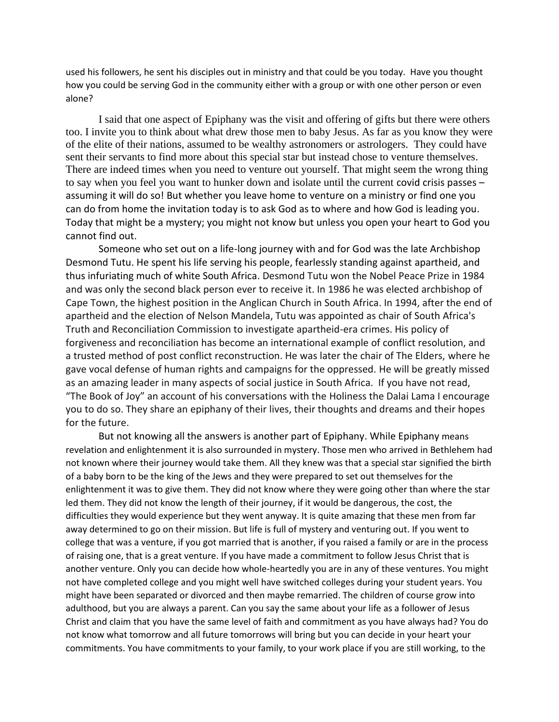used his followers, he sent his disciples out in ministry and that could be you today. Have you thought how you could be serving God in the community either with a group or with one other person or even alone?

I said that one aspect of Epiphany was the visit and offering of gifts but there were others too. I invite you to think about what drew those men to baby Jesus. As far as you know they were of the elite of their nations, assumed to be wealthy astronomers or astrologers. They could have sent their servants to find more about this special star but instead chose to venture themselves. There are indeed times when you need to venture out yourself. That might seem the wrong thing to say when you feel you want to hunker down and isolate until the current covid crisis passes – assuming it will do so! But whether you leave home to venture on a ministry or find one you can do from home the invitation today is to ask God as to where and how God is leading you. Today that might be a mystery; you might not know but unless you open your heart to God you cannot find out.

Someone who set out on a life-long journey with and for God was the late Archbishop Desmond Tutu. He spent his life serving his people, fearlessly standing against apartheid, and thus infuriating much of white South Africa. Desmond Tutu won the Nobel Peace Prize in 1984 and was only the second black person ever to receive it. In 1986 he was elected archbishop of Cape Town, the highest position in the Anglican Church in South Africa. In 1994, after the end of apartheid and the election of Nelson Mandela, Tutu was appointed as chair of South Africa's Truth and Reconciliation Commission to investigate apartheid-era crimes. His policy of forgiveness and reconciliation has become an international example of conflict resolution, and a trusted method of post conflict reconstruction. He was later the chair of The Elders, where he gave vocal defense of human rights and campaigns for the oppressed. He will be greatly missed as an amazing leader in many aspects of social justice in South Africa. If you have not read, "The Book of Joy" an account of his conversations with the Holiness the Dalai Lama I encourage you to do so. They share an epiphany of their lives, their thoughts and dreams and their hopes for the future.

But not knowing all the answers is another part of Epiphany. While Epiphany means revelation and enlightenment it is also surrounded in mystery. Those men who arrived in Bethlehem had not known where their journey would take them. All they knew was that a special star signified the birth of a baby born to be the king of the Jews and they were prepared to set out themselves for the enlightenment it was to give them. They did not know where they were going other than where the star led them. They did not know the length of their journey, if it would be dangerous, the cost, the difficulties they would experience but they went anyway. It is quite amazing that these men from far away determined to go on their mission. But life is full of mystery and venturing out. If you went to college that was a venture, if you got married that is another, if you raised a family or are in the process of raising one, that is a great venture. If you have made a commitment to follow Jesus Christ that is another venture. Only you can decide how whole-heartedly you are in any of these ventures. You might not have completed college and you might well have switched colleges during your student years. You might have been separated or divorced and then maybe remarried. The children of course grow into adulthood, but you are always a parent. Can you say the same about your life as a follower of Jesus Christ and claim that you have the same level of faith and commitment as you have always had? You do not know what tomorrow and all future tomorrows will bring but you can decide in your heart your commitments. You have commitments to your family, to your work place if you are still working, to the